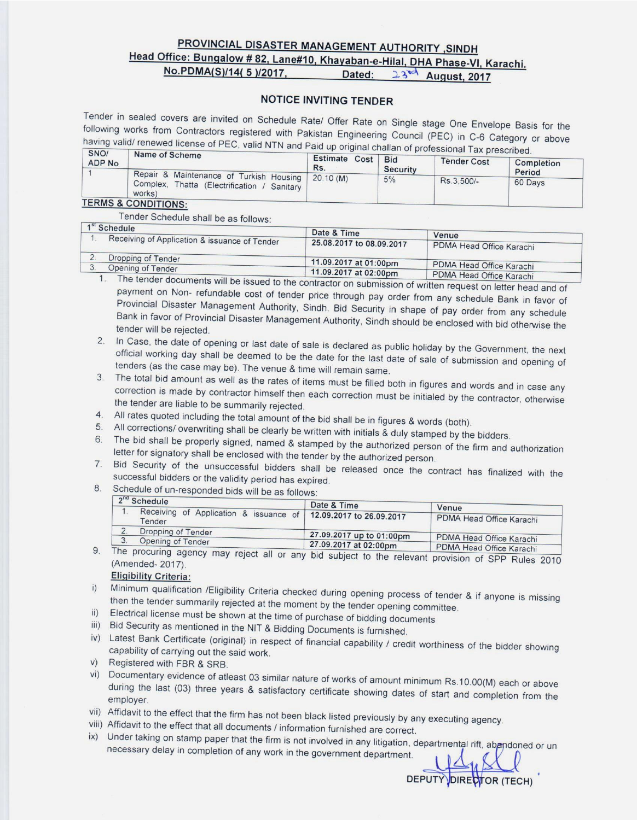## PROVINCIAL DISASTER MANAGEMENT AUTHORITY ,SINDH

# Head Office: Bungalow # 82, Lane#10, Khayaban-e-Hilal, DHA Phase-VI, Karachi.

No.PDMA(S)/14(5)/2017.

Dated:  $23$ d August, 2017

#### **NOTICE INVITING TENDER**

Tender in sealed covers are invited on Schedule Rate/ Offer Rate on Single stage One Envelope Basis for the following works from Contractors registered with Pakistan Engineering Council (PEC) in C-6 Category or above having valid/ renewed license of PEC, valid NTN and Paid up original challan of professional Tax prescribed.

| <b>Exercise Division Law Dicadilleur</b><br>Estimate Cost<br><b>Bid</b><br>Rs.<br>Security |                                                   | Completion<br>Period |
|--------------------------------------------------------------------------------------------|---------------------------------------------------|----------------------|
| 5%                                                                                         | Rs.3.500/-                                        | 60 Days              |
|                                                                                            | Repair & Maintenance of Turkish Housing 20.10 (M) |                      |

#### **TERMS & CONDITIONS:**

Tender Schedule shall be as follows:

| 1 <sup>st</sup> Schedule                      | Date & Time              | Venue                                                |
|-----------------------------------------------|--------------------------|------------------------------------------------------|
| Receiving of Application & issuance of Tender | 25.08.2017 to 08.09.2017 | PDMA Head Office Karachi                             |
| Dropping of Tender                            | 11.09.2017 at 01:00pm    |                                                      |
| Opening of Tender                             | 11.09.2017 at 02:00pm    | PDMA Head Office Karachi<br>PDMA Head Office Karachi |

1. The tender documents will be issued to the contractor on submission of written request on letter head and of payment on Non- refundable cost of tender price through pay order from any schedule Bank in favor of Provincial Disaster Management Authority, Sindh. Bid Security in shape of pay order from any schedule Bank in favor of Provincial Disaster Management Authority, Sindh should be enclosed with bid otherwise the tender will be rejected.

- 2. In Case, the date of opening or last date of sale is declared as public holiday by the Government, the next official working day shall be deemed to be the date for the last date of sale of submission and opening of tenders (as the case may be). The venue & time will remain same.
- 3. The total bid amount as well as the rates of items must be filled both in figures and words and in case any correction is made by contractor himself then each correction must be initialed by the contractor, otherwise the tender are liable to be summarily rejected.
- 4. All rates quoted including the total amount of the bid shall be in figures & words (both).
- 5. All corrections/ overwriting shall be clearly be written with initials & duly stamped by the bidders.
- 6. The bid shall be properly signed, named & stamped by the authorized person of the firm and authorization letter for signatory shall be enclosed with the tender by the authorized person.
- 7. Bid Security of the unsuccessful bidders shall be released once the contract has finalized with the successful bidders or the validity period has expired.
- 8. Schedule of un-responded bids will be as follows:

| 2 <sup>"</sup> Schedule                                                   | Date & Time              | Venue                    |
|---------------------------------------------------------------------------|--------------------------|--------------------------|
| Receiving of Application & issuance of 12.09.2017 to 26.09.2017<br>Tender |                          | PDMA Head Office Karachi |
| Dropping of Tender                                                        | 27.09.2017 up to 01:00pm | PDMA Head Office Karachi |
| Opening of Tender                                                         | 27.09.2017 at 02:00pm    | PDMA Head Office Karachi |

The procuring agency may reject all or any bid subject to the relevant provision of SPP Rules 2010 9. (Amended-2017).

**Eligibility Criteria:** 

- i) Minimum qualification /Eligibility Criteria checked during opening process of tender & if anyone is missing then the tender summarily rejected at the moment by the tender opening committee.
- ii) Electrical license must be shown at the time of purchase of bidding documents
- iii) Bid Security as mentioned in the NIT & Bidding Documents is furnished.
- iv) Latest Bank Certificate (original) in respect of financial capability / credit worthiness of the bidder showing capability of carrying out the said work.
- v) Registered with FBR & SRB.
- vi) Documentary evidence of atleast 03 similar nature of works of amount minimum Rs.10.00(M) each or above during the last (03) three years & satisfactory certificate showing dates of start and completion from the employer.
- vii) Affidavit to the effect that the firm has not been black listed previously by any executing agency.
- viii) Affidavit to the effect that all documents / information furnished are correct.
- ix) Under taking on stamp paper that the firm is not involved in any litigation, departmental rift, abandoned or un necessary delay in completion of any work in the government department.

DEPUTY DIRECTOR (TECH)